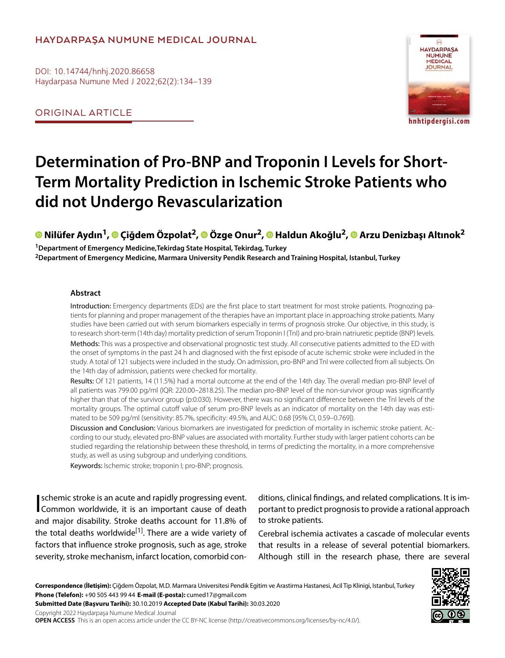# **HAYDARPAŞA NUMUNE MEDICAL JOURNAL**

DOI: 10.14744/hnhj.2020.86658 Haydarpasa Numune Med J 2022;62(2):134–139

ORIGINAL ARTICLE



# **Determination of Pro-BNP and Troponin I Levels for Short-Term Mortality Prediction in Ischemic Stroke Patients who did not Undergo Revascularization**

**Nilüfer Aydın1,Çiğdem Özpolat2,Özge Onur2,Haldun Akoğlu2, [A](https://orcid.org/0000-0002-4589-8251
)rzu Denizbaşı Altınok2**

**1Department of Emergency Medicine,Tekirdag State Hospital, Tekirdag, Turkey 2Department of Emergency Medicine, Marmara University Pendik Research and Training Hospital, Istanbul, Turkey**

#### **Abstract**

Introduction: Emergency departments (EDs) are the first place to start treatment for most stroke patients. Prognozing patients for planning and proper management of the therapies have an important place in approaching stroke patients. Many studies have been carried out with serum biomarkers especially in terms of prognosis stroke. Our objective, in this study, is to research short-term (14th day) mortality prediction of serum Troponin I (TnI) and pro-brain natriuretic peptide (BNP) levels. Methods: This was a prospective and observational prognostic test study. All consecutive patients admitted to the ED with the onset of symptoms in the past 24 h and diagnosed with the first episode of acute ischemic stroke were included in the study. A total of 121 subjects were included in the study. On admission, pro-BNP and TnI were collected from all subjects. On the 14th day of admission, patients were checked for mortality.

Results: Of 121 patients, 14 (11.5%) had a mortal outcome at the end of the 14th day. The overall median pro-BNP level of all patients was 799.00 pg/ml (IQR: 220.00–2818.25). The median pro-BNP level of the non-survivor group was significantly higher than that of the survivor group (p:0.030). However, there was no significant difference between the TnI levels of the mortality groups. The optimal cutoff value of serum pro-BNP levels as an indicator of mortality on the 14th day was estimated to be 509 pg/ml (sensitivity: 85.7%, specificity: 49.5%, and AUC: 0.68 [95% CI, 0.59–0.769]).

Discussion and Conclusion: Various biomarkers are investigated for prediction of mortality in ischemic stroke patient. According to our study, elevated pro-BNP values are associated with mortality. Further study with larger patient cohorts can be studied regarding the relationship between these threshold, in terms of predicting the mortality, in a more comprehensive study, as well as using subgroup and underlying conditions.

Keywords: Ischemic stroke; troponin I; pro-BNP; prognosis.

schemic stroke is an acute and rapidly progressing event.<br>Common worldwide, it is an important cause of death schemic stroke is an acute and rapidly progressing event. and major disability. Stroke deaths account for 11.8% of the total deaths worldwide<sup>[1]</sup>. There are a wide variety of factors that influence stroke prognosis, such as age, stroke severity, stroke mechanism, infarct location, comorbid con-

ditions, clinical findings, and related complications. It is important to predict prognosis to provide a rational approach to stroke patients.

Cerebral ischemia activates a cascade of molecular events that results in a release of several potential biomarkers. Although still in the research phase, there are several

**Correspondence (İletişim):** Çiğdem Özpolat, M.D. Marmara Universitesi Pendik Egitim ve Arastirma Hastanesi, Acil Tip Klinigi, Istanbul, Turkey **Phone (Telefon):** +90 505 443 99 44 **E-mail (E-posta):** cumed17@gmail.com



**OPEN ACCESS** This is an open access article under the CC BY-NC license (http://creativecommons.org/licenses/by-nc/4.0/).

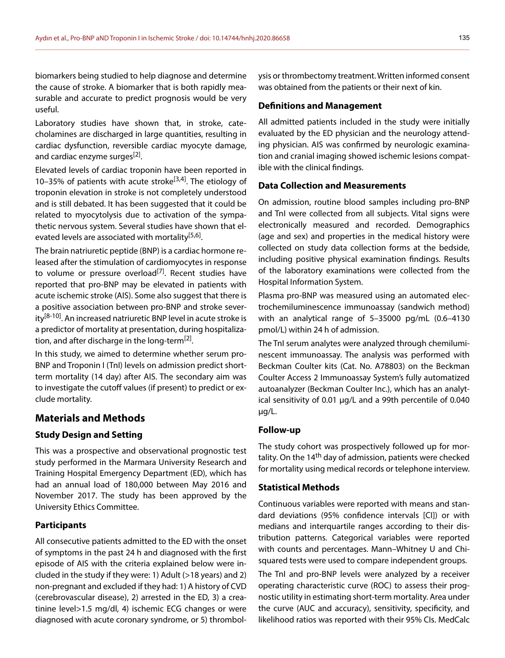biomarkers being studied to help diagnose and determine the cause of stroke. A biomarker that is both rapidly measurable and accurate to predict prognosis would be very useful.

Laboratory studies have shown that, in stroke, catecholamines are discharged in large quantities, resulting in cardiac dysfunction, reversible cardiac myocyte damage, and cardiac enzyme surges<sup>[2]</sup>.

Elevated levels of cardiac troponin have been reported in 10–35% of patients with acute stroke<sup>[3,4]</sup>. The etiology of troponin elevation in stroke is not completely understood and is still debated. It has been suggested that it could be related to myocytolysis due to activation of the sympathetic nervous system. Several studies have shown that elevated levels are associated with mortality<sup>[5,6]</sup>.

The brain natriuretic peptide (BNP) is a cardiac hormone released after the stimulation of cardiomyocytes in response to volume or pressure overload<sup>[7]</sup>. Recent studies have reported that pro-BNP may be elevated in patients with acute ischemic stroke (AIS). Some also suggest that there is a positive association between pro-BNP and stroke severity<sup>[8-10]</sup>. An increased natriuretic BNP level in acute stroke is a predictor of mortality at presentation, during hospitalization, and after discharge in the long-term<sup>[2]</sup>.

In this study, we aimed to determine whether serum pro-BNP and Troponin I (TnI) levels on admission predict shortterm mortality (14 day) after AIS. The secondary aim was to investigate the cutoff values (if present) to predict or exclude mortality.

## **Materials and Methods**

## **Study Design and Setting**

This was a prospective and observational prognostic test study performed in the Marmara University Research and Training Hospital Emergency Department (ED), which has had an annual load of 180,000 between May 2016 and November 2017. The study has been approved by the University Ethics Committee.

#### **Participants**

All consecutive patients admitted to the ED with the onset of symptoms in the past 24 h and diagnosed with the first episode of AIS with the criteria explained below were included in the study if they were: 1) Adult (>18 years) and 2) non-pregnant and excluded if they had: 1) A history of CVD (cerebrovascular disease), 2) arrested in the ED, 3) a creatinine level>1.5 mg/dl, 4) ischemic ECG changes or were diagnosed with acute coronary syndrome, or 5) thrombolysis or thrombectomy treatment. Written informed consent was obtained from the patients or their next of kin.

#### **Definitions and Management**

All admitted patients included in the study were initially evaluated by the ED physician and the neurology attending physician. AIS was confirmed by neurologic examination and cranial imaging showed ischemic lesions compatible with the clinical findings.

#### **Data Collection and Measurements**

On admission, routine blood samples including pro-BNP and TnI were collected from all subjects. Vital signs were electronically measured and recorded. Demographics (age and sex) and properties in the medical history were collected on study data collection forms at the bedside, including positive physical examination findings. Results of the laboratory examinations were collected from the Hospital Information System.

Plasma pro-BNP was measured using an automated electrochemiluminescence immunoassay (sandwich method) with an analytical range of 5–35000 pg/mL (0.6–4130 pmol/L) within 24 h of admission.

The TnI serum analytes were analyzed through chemiluminescent immunoassay. The analysis was performed with Beckman Coulter kits (Cat. No. A78803) on the Beckman Coulter Access 2 Immunoassay System's fully automatized autoanalyzer (Beckman Coulter Inc.), which has an analytical sensitivity of 0.01 μg/L and a 99th percentile of 0.040 μg/L.

#### **Follow-up**

The study cohort was prospectively followed up for mortality. On the 14<sup>th</sup> day of admission, patients were checked for mortality using medical records or telephone interview.

#### **Statistical Methods**

Continuous variables were reported with means and standard deviations (95% confidence intervals [CI]) or with medians and interquartile ranges according to their distribution patterns. Categorical variables were reported with counts and percentages. Mann–Whitney U and Chisquared tests were used to compare independent groups.

The TnI and pro-BNP levels were analyzed by a receiver operating characteristic curve (ROC) to assess their prognostic utility in estimating short-term mortality. Area under the curve (AUC and accuracy), sensitivity, specificity, and likelihood ratios was reported with their 95% CIs. MedCalc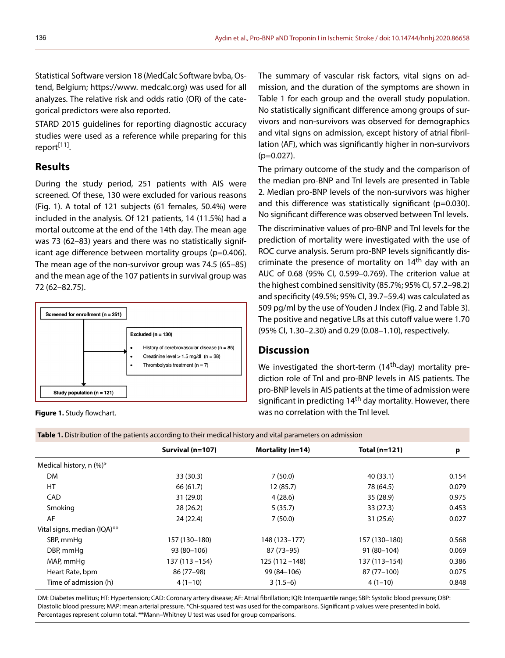Statistical Software version 18 (MedCalc Software bvba, Ostend, Belgium; https://www. medcalc.org) was used for all analyzes. The relative risk and odds ratio (OR) of the categorical predictors were also reported.

STARD 2015 guidelines for reporting diagnostic accuracy studies were used as a reference while preparing for this report<sup>[11]</sup>.

# **Results**

During the study period, 251 patients with AIS were screened. Of these, 130 were excluded for various reasons (Fig. 1). A total of 121 subjects (61 females, 50.4%) were included in the analysis. Of 121 patients, 14 (11.5%) had a mortal outcome at the end of the 14th day. The mean age was 73 (62–83) years and there was no statistically significant age difference between mortality groups (p=0.406). The mean age of the non-survivor group was 74.5 (65–85) and the mean age of the 107 patients in survival group was 72 (62–82.75).



**Figure 1.** Study flowchart.

The summary of vascular risk factors, vital signs on admission, and the duration of the symptoms are shown in Table 1 for each group and the overall study population. No statistically significant difference among groups of survivors and non-survivors was observed for demographics and vital signs on admission, except history of atrial fibrillation (AF), which was significantly higher in non-survivors  $(p=0.027)$ .

The primary outcome of the study and the comparison of the median pro-BNP and TnI levels are presented in Table 2. Median pro-BNP levels of the non-survivors was higher and this difference was statistically significant (p=0.030). No significant difference was observed between TnI levels.

The discriminative values of pro-BNP and TnI levels for the prediction of mortality were investigated with the use of ROC curve analysis. Serum pro-BNP levels significantly discriminate the presence of mortality on 14<sup>th</sup> day with an AUC of 0.68 (95% CI, 0.599–0.769). The criterion value at the highest combined sensitivity (85.7%; 95% CI, 57.2–98.2) and specificity (49.5%; 95% CI, 39.7–59.4) was calculated as 509 pg/ml by the use of Youden J Index (Fig. 2 and Table 3). The positive and negative LRs at this cutoff value were 1.70 (95% CI, 1.30–2.30) and 0.29 (0.08–1.10), respectively.

# **Discussion**

We investigated the short-term  $(14<sup>th</sup>-day)$  mortality prediction role of TnI and pro-BNP levels in AIS patients. The pro-BNP levels in AIS patients at the time of admission were significant in predicting 14<sup>th</sup> day mortality. However, there was no correlation with the TnI level.

**Table 1.** Distribution of the patients according to their medical history and vital parameters on admission

| Survival $(n=107)$ | Mortality ( $n=14$ ) | Total $(n=121)$ | p     |
|--------------------|----------------------|-----------------|-------|
|                    |                      |                 |       |
| 33(30.3)           | 7(50.0)              | 40(33.1)        | 0.154 |
| 66 (61.7)          | 12(85.7)             | 78 (64.5)       | 0.079 |
| 31(29.0)           | 4(28.6)              | 35 (28.9)       | 0.975 |
| 28(26.2)           | 5(35.7)              | 33(27.3)        | 0.453 |
| 24 (22.4)          | 7(50.0)              | 31 (25.6)       | 0.027 |
|                    |                      |                 |       |
| 157 (130-180)      | 148 (123-177)        | 157 (130-180)   | 0.568 |
| 93 (80-106)        | $87(73-95)$          | $91(80-104)$    | 0.069 |
| $137(113 - 154)$   | $125(112 - 148)$     | 137 (113-154)   | 0.386 |
| 86 (77-98)         | 99 (84 - 106)        | 87 (77-100)     | 0.075 |
| $4(1-10)$          | $3(1.5-6)$           | $4(1-10)$       | 0.848 |
|                    |                      |                 |       |

DM: Diabetes mellitus; HT: Hypertension; CAD: Coronary artery disease; AF: Atrial fibrillation; IQR: Interquartile range; SBP: Systolic blood pressure; DBP: Diastolic blood pressure; MAP: mean arterial pressure. \*Chi-squared test was used for the comparisons. Significant p values were presented in bold. Percentages represent column total. \*\*Mann–Whitney U test was used for group comparisons.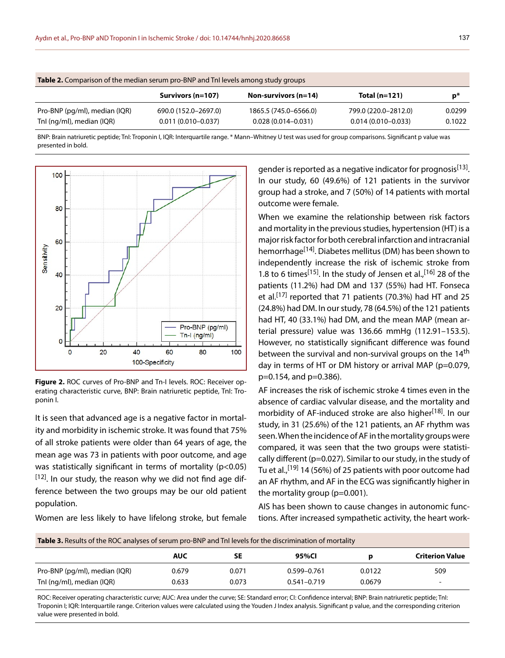| <b>Table 2.</b> Comparison of the median serum pro-BNP and TnI levels among study groups |                        |                        |                        |        |  |  |  |
|------------------------------------------------------------------------------------------|------------------------|------------------------|------------------------|--------|--|--|--|
|                                                                                          | Survivors (n=107)      | Non-survivors $(n=14)$ | Total $(n=121)$        | p*     |  |  |  |
| Pro-BNP (pg/ml), median (IQR)                                                            | 690.0 (152.0-2697.0)   | 1865.5 (745.0-6566.0)  | 799.0 (220.0-2812.0)   | 0.0299 |  |  |  |
| Tnl (ng/ml), median (IQR)                                                                | $0.011(0.010 - 0.037)$ | $0.028(0.014 - 0.031)$ | $0.014(0.010 - 0.033)$ | 0.1022 |  |  |  |

BNP: Brain natriuretic peptide; TnI: Troponin I, IQR: Interquartile range. \* Mann–Whitney U test was used for group comparisons. Significant p value was presented in bold.



**Figure 2.** ROC curves of Pro-BNP and Tn-I levels. ROC: Receiver operating characteristic curve, BNP: Brain natriuretic peptide, TnI: Troponin I.

It is seen that advanced age is a negative factor in mortality and morbidity in ischemic stroke. It was found that 75% of all stroke patients were older than 64 years of age, the mean age was 73 in patients with poor outcome, and age was statistically significant in terms of mortality (p<0.05)  $[12]$ . In our study, the reason why we did not find age difference between the two groups may be our old patient population.

Women are less likely to have lifelong stroke, but female

gender is reported as a negative indicator for prognosis<sup>[13]</sup>. In our study, 60 (49.6%) of 121 patients in the survivor group had a stroke, and 7 (50%) of 14 patients with mortal outcome were female.

When we examine the relationship between risk factors and mortality in the previous studies, hypertension (HT) is a major risk factor for both cerebral infarction and intracranial hemorrhage<sup>[14]</sup>. Diabetes mellitus (DM) has been shown to independently increase the risk of ischemic stroke from 1.8 to 6 times<sup>[15]</sup>. In the study of Jensen et al.,<sup>[16]</sup> 28 of the patients (11.2%) had DM and 137 (55%) had HT. Fonseca et al.[17] reported that 71 patients (70.3%) had HT and 25 (24.8%) had DM. In our study, 78 (64.5%) of the 121 patients had HT, 40 (33.1%) had DM, and the mean MAP (mean arterial pressure) value was 136.66 mmHg (112.91–153.5). However, no statistically significant difference was found between the survival and non-survival groups on the 14<sup>th</sup> day in terms of HT or DM history or arrival MAP (p=0.079, p=0.154, and p=0.386).

AF increases the risk of ischemic stroke 4 times even in the absence of cardiac valvular disease, and the mortality and morbidity of AF-induced stroke are also higher<sup>[18]</sup>. In our study, in 31 (25.6%) of the 121 patients, an AF rhythm was seen. When the incidence of AF in the mortality groups were compared, it was seen that the two groups were statistically different (p=0.027). Similar to our study, in the study of Tu et al.,  $[19]$  14 (56%) of 25 patients with poor outcome had an AF rhythm, and AF in the ECG was significantly higher in the mortality group (p=0.001).

AIS has been shown to cause changes in autonomic functions. After increased sympathetic activity, the heart work-

| <b>Table 3.</b> Results of the ROC analyses of serum pro-BNP and TnI levels for the discrimination of mortality |            |       |                 |        |                          |  |  |
|-----------------------------------------------------------------------------------------------------------------|------------|-------|-----------------|--------|--------------------------|--|--|
|                                                                                                                 | <b>AUC</b> | SE    | 95%CI           | D      | <b>Criterion Value</b>   |  |  |
| Pro-BNP (pg/ml), median (IQR)                                                                                   | 0.679      | 0.071 | $0.599 - 0.761$ | 0.0122 | 509                      |  |  |
| Tnl (ng/ml), median (IQR)                                                                                       | 0.633      | 0.073 | $0.541 - 0.719$ | 0.0679 | $\overline{\phantom{0}}$ |  |  |

ROC: Receiver operating characteristic curve; AUC: Area under the curve; SE: Standard error; CI: Confidence interval; BNP: Brain natriuretic peptide; TnI: Troponin I; IQR: Interquartile range. Criterion values were calculated using the Youden J Index analysis. Significant p value, and the corresponding criterion value were presented in bold.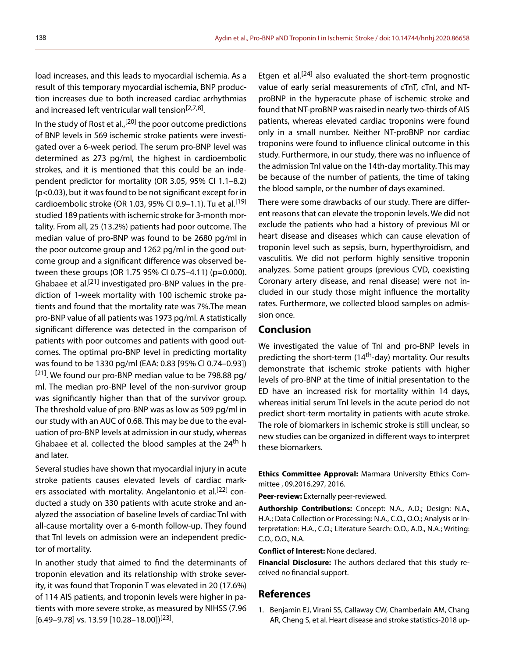load increases, and this leads to myocardial ischemia. As a result of this temporary myocardial ischemia, BNP production increases due to both increased cardiac arrhythmias and increased left ventricular wall tension<sup>[2,7,8]</sup>.

In the study of Rost et al.,<sup>[20]</sup> the poor outcome predictions of BNP levels in 569 ischemic stroke patients were investigated over a 6-week period. The serum pro-BNP level was determined as 273 pg/ml, the highest in cardioembolic strokes, and it is mentioned that this could be an independent predictor for mortality (OR 3.05, 95% CI 1.1–8.2) (p<0.03), but it was found to be not significant except for in cardioembolic stroke (OR 1.03, 95% CI 0.9–1.1). Tu et al.<sup>[19]</sup> studied 189 patients with ischemic stroke for 3-month mortality. From all, 25 (13.2%) patients had poor outcome. The median value of pro-BNP was found to be 2680 pg/ml in the poor outcome group and 1262 pg/ml in the good outcome group and a significant difference was observed between these groups (OR 1.75 95% CI 0.75–4.11) (p=0.000). Ghabaee et al.<sup>[21]</sup> investigated pro-BNP values in the prediction of 1-week mortality with 100 ischemic stroke patients and found that the mortality rate was 7%.The mean pro-BNP value of all patients was 1973 pg/ml. A statistically significant difference was detected in the comparison of patients with poor outcomes and patients with good outcomes. The optimal pro-BNP level in predicting mortality was found to be 1330 pg/ml (EAA: 0.83 [95% CI 0.74–0.93])  $[21]$ . We found our pro-BNP median value to be 798.88 pg/ ml. The median pro-BNP level of the non-survivor group was significantly higher than that of the survivor group. The threshold value of pro-BNP was as low as 509 pg/ml in our study with an AUC of 0.68. This may be due to the evaluation of pro-BNP levels at admission in our study, whereas Ghabaee et al. collected the blood samples at the 24<sup>th</sup> h and later.

Several studies have shown that myocardial injury in acute stroke patients causes elevated levels of cardiac markers associated with mortality. Angelantonio et al.<sup>[22]</sup> conducted a study on 330 patients with acute stroke and analyzed the association of baseline levels of cardiac TnI with all-cause mortality over a 6-month follow-up. They found that TnI levels on admission were an independent predictor of mortality.

In another study that aimed to find the determinants of troponin elevation and its relationship with stroke severity, it was found that Troponin T was elevated in 20 (17.6%) of 114 AIS patients, and troponin levels were higher in patients with more severe stroke, as measured by NIHSS (7.96  $[6.49-9.78]$  vs. 13.59  $[10.28-18.00]^{[23]}$ .

Etgen et al.<sup>[24]</sup> also evaluated the short-term prognostic value of early serial measurements of cTnT, cTnI, and NTproBNP in the hyperacute phase of ischemic stroke and found that NT-proBNP was raised in nearly two-thirds of AIS patients, whereas elevated cardiac troponins were found only in a small number. Neither NT-proBNP nor cardiac troponins were found to influence clinical outcome in this study. Furthermore, in our study, there was no influence of the admission TnI value on the 14th-day mortality. This may be because of the number of patients, the time of taking the blood sample, or the number of days examined.

There were some drawbacks of our study. There are different reasons that can elevate the troponin levels. We did not exclude the patients who had a history of previous MI or heart disease and diseases which can cause elevation of troponin level such as sepsis, burn, hyperthyroidism, and vasculitis. We did not perform highly sensitive troponin analyzes. Some patient groups (previous CVD, coexisting Coronary artery disease, and renal disease) were not included in our study those might influence the mortality rates. Furthermore, we collected blood samples on admission once.

## **Conclusion**

We investigated the value of TnI and pro-BNP levels in predicting the short-term (14th-day) mortality. Our results demonstrate that ischemic stroke patients with higher levels of pro-BNP at the time of initial presentation to the ED have an increased risk for mortality within 14 days, whereas initial serum TnI levels in the acute period do not predict short-term mortality in patients with acute stroke. The role of biomarkers in ischemic stroke is still unclear, so new studies can be organized in different ways to interpret these biomarkers.

**Ethics Committee Approval:** Marmara University Ethics Committee , 09.2016.297, 2016.

**Peer-review:** Externally peer-reviewed.

**Authorship Contributions:** Concept: N.A., A.D.; Design: N.A., H.A.; Data Collection or Processing: N.A., C.O., O.O.; Analysis or Interpretation: H.A., C.O.; Literature Search: O.O., A.D., N.A.; Writing: C.O., O.O., N.A.

**Conflict of Interest:** None declared.

**Financial Disclosure:** The authors declared that this study received no financial support.

## **References**

1. Benjamin EJ, Virani SS, Callaway CW, Chamberlain AM, Chang AR, Cheng S, et al. Heart disease and stroke statistics-2018 up-